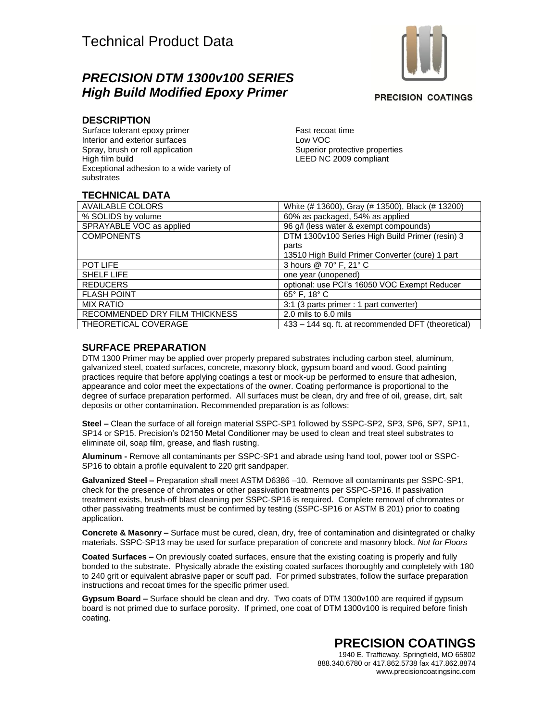## *PRECISION DTM 1300v100 SERIES High Build Modified Epoxy Primer*

**PRECISION COATINGS** 

#### **DESCRIPTION**

Surface tolerant epoxy primer Interior and exterior surfaces Spray, brush or roll application High film build Exceptional adhesion to a wide variety of substrates

Fast recoat time Low VOC Superior protective properties LEED NC 2009 compliant

### **TECHNICAL DATA**

| <b>AVAILABLE COLORS</b>        | White (# 13600), Gray (# 13500), Black (# 13200)   |
|--------------------------------|----------------------------------------------------|
| % SOLIDS by volume             | 60% as packaged, 54% as applied                    |
| SPRAYABLE VOC as applied       | 96 g/l (less water & exempt compounds)             |
| <b>COMPONENTS</b>              | DTM 1300v100 Series High Build Primer (resin) 3    |
|                                | parts                                              |
|                                | 13510 High Build Primer Converter (cure) 1 part    |
| POT LIFE                       | 3 hours @ 70° F, 21° C                             |
| <b>SHELF LIFE</b>              | one year (unopened)                                |
| <b>REDUCERS</b>                | optional: use PCI's 16050 VOC Exempt Reducer       |
| <b>FLASH POINT</b>             | 65° F, 18° C                                       |
| <b>MIX RATIO</b>               | 3:1 (3 parts primer : 1 part converter)            |
| RECOMMENDED DRY FILM THICKNESS | 2.0 mils to 6.0 mils                               |
| THEORETICAL COVERAGE           | 433 - 144 sq. ft. at recommended DFT (theoretical) |

#### **SURFACE PREPARATION**

DTM 1300 Primer may be applied over properly prepared substrates including carbon steel, aluminum, galvanized steel, coated surfaces, concrete, masonry block, gypsum board and wood. Good painting practices require that before applying coatings a test or mock-up be performed to ensure that adhesion, appearance and color meet the expectations of the owner. Coating performance is proportional to the degree of surface preparation performed. All surfaces must be clean, dry and free of oil, grease, dirt, salt deposits or other contamination. Recommended preparation is as follows:

**Steel –** Clean the surface of all foreign material SSPC-SP1 followed by SSPC-SP2, SP3, SP6, SP7, SP11, SP14 or SP15. Precision's 02150 Metal Conditioner may be used to clean and treat steel substrates to eliminate oil, soap film, grease, and flash rusting.

**Aluminum -** Remove all contaminants per SSPC-SP1 and abrade using hand tool, power tool or SSPC-SP16 to obtain a profile equivalent to 220 grit sandpaper.

**Galvanized Steel –** Preparation shall meet ASTM D6386 –10. Remove all contaminants per SSPC-SP1, check for the presence of chromates or other passivation treatments per SSPC-SP16. If passivation treatment exists, brush-off blast cleaning per SSPC-SP16 is required. Complete removal of chromates or other passivating treatments must be confirmed by testing (SSPC-SP16 or ASTM B 201) prior to coating application.

**Concrete & Masonry –** Surface must be cured, clean, dry, free of contamination and disintegrated or chalky materials. SSPC-SP13 may be used for surface preparation of concrete and masonry block. *Not for Floors*

**Coated Surfaces –** On previously coated surfaces, ensure that the existing coating is properly and fully bonded to the substrate. Physically abrade the existing coated surfaces thoroughly and completely with 180 to 240 grit or equivalent abrasive paper or scuff pad. For primed substrates, follow the surface preparation instructions and recoat times for the specific primer used.

**Gypsum Board –** Surface should be clean and dry. Two coats of DTM 1300v100 are required if gypsum board is not primed due to surface porosity. If primed, one coat of DTM 1300v100 is required before finish coating.

# **PRECISION COATINGS**

1940 E. Trafficway, Springfield, MO 65802 888.340.6780 or 417.862.5738 fax 417.862.8874 www.precisioncoatingsinc.com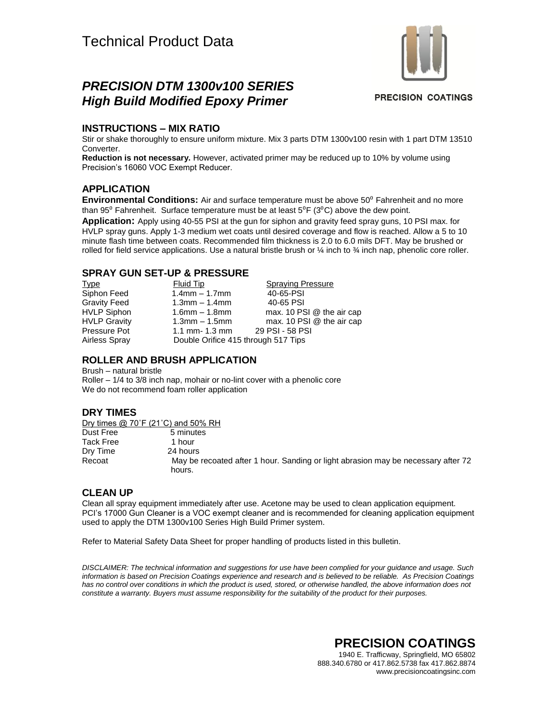

## *PRECISION DTM 1300v100 SERIES High Build Modified Epoxy Primer*

**PRECISION COATINGS** 

#### **INSTRUCTIONS – MIX RATIO**

Stir or shake thoroughly to ensure uniform mixture. Mix 3 parts DTM 1300v100 resin with 1 part DTM 13510 Converter.

**Reduction is not necessary.** However, activated primer may be reduced up to 10% by volume using Precision's 16060 VOC Exempt Reducer.

#### **APPLICATION**

**Environmental Conditions:** Air and surface temperature must be above 50<sup>0</sup> Fahrenheit and no more than 95 $^0$  Fahrenheit. Surface temperature must be at least 5 $^0$ F (3 $^0$ C) above the dew point.

**Application:** Apply using 40-55 PSI at the gun for siphon and gravity feed spray guns, 10 PSI max. for HVLP spray guns. Apply 1-3 medium wet coats until desired coverage and flow is reached. Allow a 5 to 10 minute flash time between coats. Recommended film thickness is 2.0 to 6.0 mils DFT. May be brushed or rolled for field service applications. Use a natural bristle brush or  $\frac{1}{4}$  inch to  $\frac{3}{4}$  inch nap, phenolic core roller.

#### **SPRAY GUN SET-UP & PRESSURE**

| <u>Type</u>         | Fluid Tip                           | <b>Spraying Pressure</b>  |
|---------------------|-------------------------------------|---------------------------|
| Siphon Feed         | $1.4$ mm $-1.7$ mm                  | 40-65-PSI                 |
| <b>Gravity Feed</b> | $1.3$ mm $-1.4$ mm                  | 40-65 PSI                 |
| <b>HVLP Siphon</b>  | $1.6$ mm $- 1.8$ mm                 | max. 10 PSI @ the air cap |
| <b>HVLP Gravity</b> | $1.3$ mm $-1.5$ mm                  | max. 10 PSI @ the air cap |
| Pressure Pot        | 1.1 mm- $1.3$ mm                    | 29 PSI - 58 PSI           |
| Airless Spray       | Double Orifice 415 through 517 Tips |                           |
|                     |                                     |                           |

### **ROLLER AND BRUSH APPLICATION**

Brush – natural bristle Roller – 1/4 to 3/8 inch nap, mohair or no-lint cover with a phenolic core We do not recommend foam roller application

#### **DRY TIMES**

Dry times @ 70°F (21°C) and 50% RH Dust Free 5 minutes Tack Free 1 hour Dry Time 24 hours Recoat May be recoated after 1 hour. Sanding or light abrasion may be necessary after 72 hours.

#### **CLEAN UP**

Clean all spray equipment immediately after use. Acetone may be used to clean application equipment. PCI's 17000 Gun Cleaner is a VOC exempt cleaner and is recommended for cleaning application equipment used to apply the DTM 1300v100 Series High Build Primer system.

Refer to Material Safety Data Sheet for proper handling of products listed in this bulletin.

*DISCLAIMER: The technical information and suggestions for use have been complied for your guidance and usage. Such information is based on Precision Coatings experience and research and is believed to be reliable. As Precision Coatings*  has no control over conditions in which the product is used, stored, or otherwise handled, the above information does not *constitute a warranty. Buyers must assume responsibility for the suitability of the product for their purposes.*

> **PRECISION COATINGS** 1940 E. Trafficway, Springfield, MO 65802 888.340.6780 or 417.862.5738 fax 417.862.8874 www.precisioncoatingsinc.com